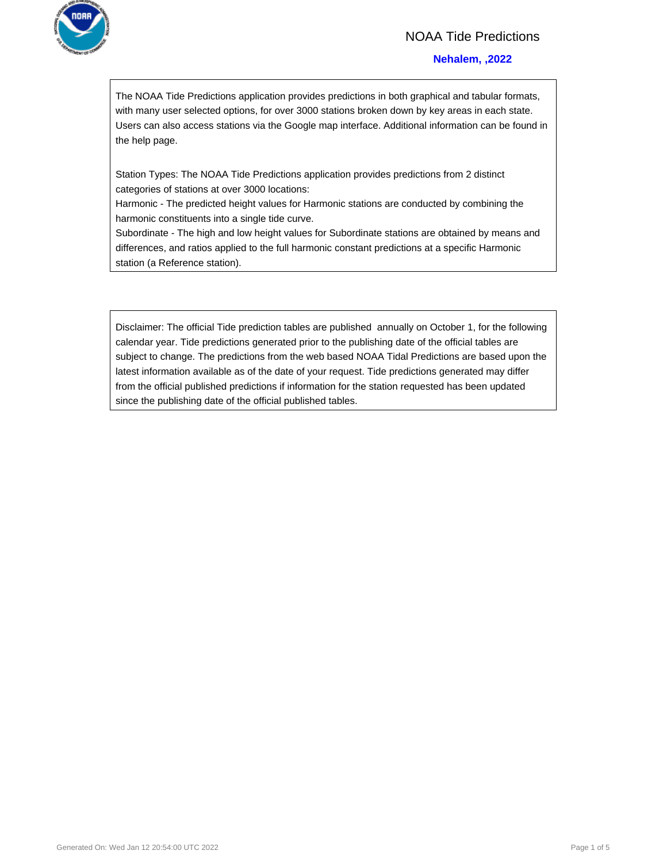

### NOAA Tide Predictions

#### **Nehalem, ,2022**

The NOAA Tide Predictions application provides predictions in both graphical and tabular formats, with many user selected options, for over 3000 stations broken down by key areas in each state. Users can also access stations via the Google map interface. Additional information can be found in the help page.

Station Types: The NOAA Tide Predictions application provides predictions from 2 distinct categories of stations at over 3000 locations:

Harmonic - The predicted height values for Harmonic stations are conducted by combining the harmonic constituents into a single tide curve.

Subordinate - The high and low height values for Subordinate stations are obtained by means and differences, and ratios applied to the full harmonic constant predictions at a specific Harmonic station (a Reference station).

Disclaimer: The official Tide prediction tables are published annually on October 1, for the following calendar year. Tide predictions generated prior to the publishing date of the official tables are subject to change. The predictions from the web based NOAA Tidal Predictions are based upon the latest information available as of the date of your request. Tide predictions generated may differ from the official published predictions if information for the station requested has been updated since the publishing date of the official published tables.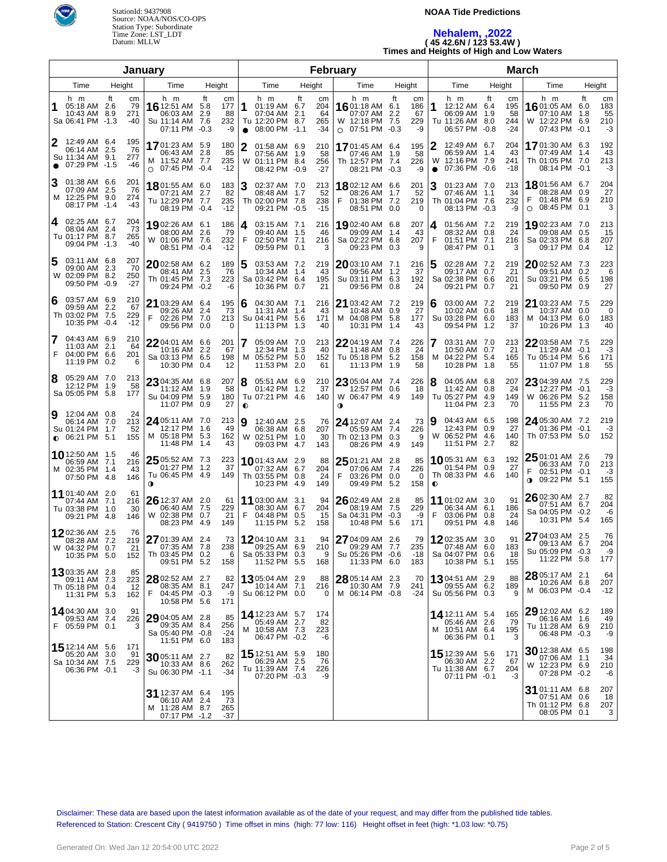

#### **NOAA Tide Predictions**

## **Nehalem, ,2022 ( 45 42.6N / 123 53.4W ) Times and Heights of High and Low Waters**

| January                                                                                                  |                                                                                                               |                                                                                                 |                                     | February                                                                                          |                                                                                                    | <b>March</b>                          |                                                                                |                                                  |  |  |  |
|----------------------------------------------------------------------------------------------------------|---------------------------------------------------------------------------------------------------------------|-------------------------------------------------------------------------------------------------|-------------------------------------|---------------------------------------------------------------------------------------------------|----------------------------------------------------------------------------------------------------|---------------------------------------|--------------------------------------------------------------------------------|--------------------------------------------------|--|--|--|
| Time<br>Height                                                                                           | Height<br>Time                                                                                                | Time                                                                                            | Height                              | Time<br>Height                                                                                    | Time                                                                                               | Height                                | Time                                                                           | Height                                           |  |  |  |
| h m<br>ft<br>сm<br>79<br>05:18 AM 2.6<br>271<br>10:43 AM 8.9<br>Sa 06:41 PM -1.3<br>-40                  | h m<br>ft<br>cm<br>16 12:51 AM 5.8<br>177<br>2.9<br>06:03 AM<br>88<br>232<br>Su 11:14 AM 7.6<br>07:11 PM -0.3 | h m<br>1<br>01:19 AM 6.7<br>07:04 AM 2.1<br>Tu 12:20 PM 8.7<br>-9<br>08:00 PM -1.1<br>$\bullet$ | ft<br>cm<br>204<br>64<br>265<br>-34 | ft<br>h m<br>16 01:18 AM 6.1<br>186<br>07:07 AM 2.2<br>229<br>W 12:18 PM 7.5<br>$O$ 07:51 PM -0.3 | h m<br>cm<br>1<br>12:12 AM 6.4<br>67<br>06:09 AM 1.9<br>Tu 11:26 AM 8.0<br>-9<br>06:57 PM -0.8     | ft<br>cm<br>195<br>58<br>244<br>$-24$ | h m<br>16 01:05 AM<br>07:10 AM<br>W 12:22 PM 6.9<br>07:43 PM -0.1              | ft<br>cm<br>183<br>6.0<br>55<br>1.8<br>210<br>-3 |  |  |  |
| 12:49 AM 6.4<br>195<br>76<br>06:14 AM 2.5<br>Su 11:34 AM 9.1<br>277<br>$\bullet$ 07:29 PM -1.5<br>$-46$  | 1701:23 AM 5.9<br>180<br>06:43 AM<br>-2.8<br>85<br>235<br>M 11:52 AM 7.7<br>$O$ 07:45 PM -0.4<br>$-12$        | 2<br>01:58 AM 6.9<br>07:56 AM 1.9<br>01:11 PM 8.4<br>W<br>08:42 PM -0.9                         | 210<br>58<br>256<br>$-27$           | 1701:45 AM 6.4<br>195<br>1.9<br>07:46 AM<br>Th 12:57 PM 7.4<br>08:21 PM -0.3                      | 12:49 AM 6.7<br>06:59 AM 1.4<br>58<br>12:16 PM 7.9<br>W<br>226<br>07:36 PM -0.6<br>-9<br>$\bullet$ | 204<br>43<br>241<br>$-18$             | 1701:30 AM 6.3<br>07:49 AM 1.4<br>Th 01:05 PM 7.0<br>08:14 PM -0.1             | 192<br>43<br>213<br>-3                           |  |  |  |
| 01:38 AM 6.6<br>З<br>201<br>76<br>07:09 AM 2.5<br>M 12:25 PM 9.0<br>274<br>08:17 PM -1.4<br>-43          | 1801:55 AM 6.0<br>183<br>07:21 AM 2.7<br>Tu 12:29 PM 7.7<br>235<br>08:19 PM -0.4<br>$-12$                     | 3<br>02:37 AM 7.0<br>82<br>08:48 AM 1.7<br>Th 02:00 PM 7.8<br>09:21 PM -0.5                     | 213<br>52<br>238<br>$-15$           | 1802:12 AM 6.6<br>201<br>08:26 AM<br>1.7<br>01:38 PM 7.2<br>219<br>F<br>08:51 PM 0.0              | 3<br>01:23 AM 7.0<br>52<br>07:46 AM 1.1<br>Th 01:04 PM 7.6<br>$\Omega$<br>08:13 PM -0.3            | 213<br>34<br>232<br>-9                | 1801:56 AM 6.7<br>08:28 AM 0.9<br>01:48 PM 6.9<br>08:45 PM 0.1<br>$\circ$      | 204<br>27<br>210<br>3                            |  |  |  |
| 02:25 AM 6.7<br>204<br>4<br>08:04 AM 2.4<br>73<br>Tu 01:17 PM 8.7<br>265<br>09:04 PM -1.3<br>-40         | 19 02:26 AM 6.1<br>186<br>08:00 AM 2.6<br>79<br>W 01:06 PM 7.6<br>232<br>08:51 PM<br>$-0.4$<br>$-12$          | 03:15 AM 7.1<br>4<br>09:40 AM 1.5<br>F<br>02:50 PM 7.1<br>09:59 PM 0.1                          | 216<br>46<br>216<br>3               | 1902:40 AM 6.8<br>207<br>09:09 AM<br>1.4<br>Sa 02:22 PM 6.8<br>207<br>09:23 PM 0.3                | 01:56 AM 7.2<br>4<br>43<br>08:32 AM 0.8<br>F<br>01:51 PM 7.1<br>08:47 PM 0.1<br>9                  | 219<br>24<br>216<br>3                 | 1902:23 AM 7.0<br>09:08 AM 0.5<br>Sa 02:33 PM 6.8<br>09:17 PM 0.4              | 213<br>15<br>207<br>12                           |  |  |  |
| 207<br>5<br>03:11 AM 6.8<br>09:00 AM 2.3<br>-70<br>W 02:09 PM 8.2<br>250<br>09:50 PM -0.9<br>$-27$       | $2002:58$ AM 6.2<br>189<br>08:41 AM 2.5<br>76<br>Th 01:45 PM 7.3<br>223<br>09:24 PM -0.2                      | 5<br>03:53 AM 7.2<br>10:34 AM 1.4<br>Sa 03:42 PM 6.4<br>-6<br>10:36 PM 0.7                      | 219<br>43<br>195<br>21              | 2003:10 AM 7.1<br>09:56 AM<br>1.2<br>Su 03:11 PM 6.3<br>192<br>09:56 PM 0.8                       | 02:28 AM 7.2<br>216<br>5<br>37<br>09:17 AM 0.7<br>Sa 02:38 PM 6.6<br>24<br>09:21 PM 0.7            | 219<br>21<br>201<br>21                | 2002:52 AM 7.3<br>09:51 AM 0.2<br>Su 03:21 PM 6.5<br>09:50 PM 0.9              | 223<br>6<br>198<br>27                            |  |  |  |
| 03:57 AM 6.9<br>6<br>210<br>09:59 AM 2.2<br>67<br>Th 03:02 PM 7.5<br>229<br>10:35 PM -0.4<br>$-12$       | 21 03:29 AM 6.4<br>195<br>09:26 AM 2.4<br>73<br>F<br>02:26 PM 7.0<br>213<br>09:56 PM 0.0                      | 04:30 AM 7.1<br>6<br>11:31 AM 1.4<br>Su 04:41 PM 5.6<br>11:13 PM 1.3<br>0                       | 216<br>43<br>171<br>40              | 21 03:42 AM 7.2<br>219<br>10:48 AM 0.9<br>M 04:08 PM 5.8<br>177<br>10:31 PM<br>1.4                | 03:00 AM 7.2<br>6<br>27<br>10:02 AM 0.6<br>Su 03:28 PM 6.0<br>09:54 PM 1.2<br>43                   | 219<br>-18<br>183<br>37               | 21 03:23 AM 7.5<br>10:37 AM 0.0<br>M 04:13 PM 6.0<br>10:26 PM 1.3              | 229<br>0<br>183<br>40                            |  |  |  |
| 04:43 AM 6.9<br>7<br>210<br>11:03 AM 2.1<br>64<br>F<br>04:00 PM 6.6<br>201<br>11:19 PM 0.2<br>6          | 22 04:01 AM 6.6<br>201<br>10:16 AM 2.2<br>67<br>Sa 03:13 PM 6.5<br>198<br>10:30 PM 0.4                        | 05:09 AM 7.0<br>7<br>12:34 PM 1.3<br>M 05:52 PM 5.0<br>12<br>11:53 PM 2.0                       | 213<br>40<br>152<br>61              | 2204:19 AM 7.4<br>226<br>11:48 AM 0.8<br>Tu 05:18 PM 5.2<br>158<br>11:13 PM 1.9                   | 03:31 AM 7.0<br>24<br>10:50 AM 0.7<br>M 04:22 PM 5.4<br>58<br>10:28 PM 1.8                         | 213<br>21<br>165<br>55                | 22 03:58 AM 7.5<br>11:29 AM -0.1<br>Tu 05:14 PM 5.6<br>11:07 PM 1.8            | 229<br>$-3$<br>171<br>55                         |  |  |  |
| 05:29 AM 7.0<br>8<br>213<br>12:12 PM 1.9<br>58<br>Sa 05:05 PM 5.8<br>177                                 | 23 04:35 AM 6.8<br>207<br>58<br>11:12 AM<br>1.9<br>Su 04:09 PM 5.9<br>180<br>11:07 PM 0.9<br>27               | 8<br>05:51 AM 6.9<br>01:42 PM 1.2<br>Tu 07:21 PM 4.6<br>$\bullet$                               | 210<br>37<br>140                    | 2305:04 AM 7.4<br>12:57 PM 0.6<br>W 06:47 PM 4.9<br>149<br>0                                      | 226<br>18<br>04:05 AM 6.8<br>18<br>11:42 AM 0.8<br>Tu 05:27 PM 4.9<br>11:04 PM 2.3                 | 207<br>24<br>149<br>70                | $2304:39$ AM $7.5$<br>12:27 PM -0.1<br>W 06:26 PM 5.2<br>11:55 PM 2.3          | 229<br>-3<br>158<br>70                           |  |  |  |
| 12:04 AM 0.8<br>9<br>24<br>213<br>06:14 AM 7.0<br>Su 01:24 PM 1.7<br>52<br>$\bullet$ 06:21 PM 5.1<br>155 | 24 05:11 AM 7.0<br>213<br>12:17 PM<br>1.6<br>M 05:18 PM 5.3<br>162<br>11:48 PM 1.4                            | 9<br>12:40 AM 2.5<br>49<br>06:38 AM 6.8<br>W 02:51 PM 1.0<br>43<br>09:03 PM 4.7                 | 76<br>207<br>30<br>143              | 24 12:07 AM 2.4<br>05:59 AM 7.4<br>Th 02:13 PM 0.3<br>08:26 PM 4.9<br>149                         | 04:43 AM 6.5<br>19<br>73<br>12:43 PM 0.9<br>226<br>W 06:52 PM 4.6<br>9<br>11:51 PM 2.7             | 198<br>27<br>140<br>82                | 24 05:30 AM 7.2<br>01:36 PM -0.1<br>Th 07:53 PM 5.0                            | 219<br>-3<br>152                                 |  |  |  |
| 10 12:50 AM 1.5<br>46<br>216<br>06:59 AM 7.1<br>M 02:35 PM 1.4<br>43<br>146<br>07:50 PM 4.8              | $2505:52$ AM 7.3<br>223<br>37<br>01:27 PM 1.2<br>Tu 06:45 PM 4.9<br>149<br>$\mathbf o$                        | <b>10</b> 01:43 AM 2.9<br>07:32 AM 6.7<br>Th 03:55 PM 0.8<br>10:23 PM 4.9                       | 88<br>204<br>24<br>149              | 25 01:21 AM 2.8<br>07:06 AM 7.4<br>226<br>F<br>03:26 PM 0.0<br>09:49 PM 5.2<br>158                | 1005:31 AM 6.3<br>85<br>01:54 PM 0.9<br>Th 08:33 PM 4.6<br>$\Omega$<br>$\bullet$                   | 192<br>27<br>140                      | $2501:01$ AM 2.6<br>06:33 AM 7.0<br>02:51 PM -0.1<br>09:22 PM 5.1<br>$\bullet$ | 79<br>213<br>$-3$<br>155                         |  |  |  |
| 11 01:40 AM 2.0<br>61<br>216<br>07:44 AM 7.1<br>Tu 03:38 PM 1.0<br>30<br>09:21 PM 4.8<br>146             | 26 12:37 AM 2.0<br>61<br>06:40 AM 7.5<br>229<br>21<br>W 02:38 PM 0.7<br>08:23 PM 4.9<br>149                   | 11 03:00 AM 3.1<br>08:30 AM 6.7<br>F<br>04:48 PM 0.5<br>11:15 PM 5.2                            | 94<br>204<br>-15<br>158             | $26$ 02:49 AM 2.8<br>08:19 AM 7.5<br>229<br>Sa 04:31 PM -0.3<br>10:48 PM 5.6<br>171               | 11 01:02 AM 3.0<br>85<br>06:34 AM 6.1<br>F<br>-9<br>03:06 PM 0.8<br>09:51 PM 4.8                   | 91<br>186<br>24<br>146                | $2602:30$ AM 2.7<br>07:51 AM 6.7<br>Sa 04:05 PM -0.2<br>10:31 PM 5.4           | 82<br>204<br>-6<br>165                           |  |  |  |
| 1202:36 AM 2.5<br>76<br>219<br>08:28 AM 7.2<br>W 04:32 PM 0.7<br>21<br>10:35 PM 5.0<br>152               | 27 01:39 AM 2.4<br>238<br>07:35 AM 7.8<br>Th 03:45 PM 0.2<br>09:51 PM 5.2<br>158                              | $1204:10$ AM 3.1<br>73<br>09:25 AM 6.9<br>Sa 05:33 PM 0.3<br>6<br>11:52 PM 5.5                  | 94<br>210<br>9<br>168               | 27 04:09 AM 2.6<br>09:29 AM 7.7<br>Su 05:26 PM -0.6<br>11:33 PM 6.0<br>183                        | 1202:35 AM 3.0<br>79<br>235<br>07:48 AM 6.0<br>Sa 04:07 PM 0.6<br>-18<br>10:38 PM 5.1              | 91<br>183<br>18<br>155                | 27 04:03 AM 2.5<br>09:13 AM 6.7<br>Su 05:09 PM -0.3<br>11:22 PM 5.8            | 76<br>204<br>-9<br>177                           |  |  |  |
| <b>13</b> 03:35 AM 2.8<br>85<br>09:11 AM 7.3<br>223<br>12<br>Th 05:18 PM 0.4<br>11:31 PM 5.3<br>162      | 28 02:52 AM 2.7<br>82<br>247<br>08:35 AM 8.1<br>F<br>04:45 PM -0.3<br>171<br>10:58 PM 5.6                     | <b>13</b> 05:04 AM 2.9<br>10:14 AM 7.1<br>-9<br>Su 06:12 PM 0.0                                 | 88<br>216<br>0                      | 28 05:14 AM 2.3<br>10:30 AM 7.9<br>241<br>M 06:14 PM -0.8                                         | <b>13</b> 04:51 AM 2.9<br>70<br>09:55 AM 6.2<br>-24<br>Su 05:56 PM 0.3                             | 88<br>189<br>9                        | 28 05:17 AM 2.1<br>10:26 AM 6.8<br>M 06:03 PM -0.4                             | 64<br>207<br>$-12$                               |  |  |  |
| 14 04:30 AM 3.0<br>91<br>09:53 AM 7.4<br>226<br>F 05:59 PM 0.1<br>3                                      | 29 04:05 AM 2.8<br>85<br>256<br>09:35 AM 8.4<br>Sa 05:40 PM -0.8<br>-24<br>11:51 PM 6.0<br>183                | <b>14</b> 12:23 AM 5.7<br>05:49 AM 2.7<br>M 10:58 AM 7.3<br>06:47 PM -0.2                       | 174<br>82<br>223<br>-6              |                                                                                                   | <b>14</b> 12:11 AM 5.4<br>05:46 AM 2.6<br>M 10:51 AM 6.4<br>06:36 PM 0.1                           | 165<br>79<br>195<br>3                 | 29 12:02 AM 6.2<br>06:16 AM 1.6<br>Tu 11:28 AM 6.9<br>06:48 PM -0.3            | 189<br>49<br>210<br>-9                           |  |  |  |
| <b>15</b> 12:14 AM 5.6<br>171<br>05:20 AM 3.0<br>91<br>Sa 10:34 AM 7.5<br>229<br>06:36 PM -0.1<br>-3     | 30 05:11 AM 2.7<br>262<br>10:33 AM 8.6<br>Su 06:30 PM -1.1<br>-34                                             | 15 12:51 AM 5.9<br>82<br>06:29 AM 2.5<br>Tu 11:39 AM 7.4<br>07:20 PM -0.3                       | 180<br>76<br>226<br>-9              |                                                                                                   | 15 12:39 AM 5.6<br>06:30 AM 2.2<br>Tu 11:38 AM 6.7<br>07:11 PM -0.1                                | 171<br>67<br>204<br>-3                | 30 12:38 AM 6.5<br>07:06 AM 1.1<br>W 12:23 PM 6.9<br>07:28 PM -0.2             | 198<br>34<br>210<br>-6                           |  |  |  |
|                                                                                                          | 31 12:37 AM 6.4<br>195<br>06:10 AM 2.4<br>73<br>M 11:28 AM 8.7<br>265<br>07:17 PM -1.2<br>-37                 |                                                                                                 |                                     |                                                                                                   |                                                                                                    |                                       | 31 01:11 AM 6.8<br>07:51 AM 0.6<br>Th 01:12 PM 6.8<br>08:05 PM 0.1             | 207<br>18<br>207<br>3                            |  |  |  |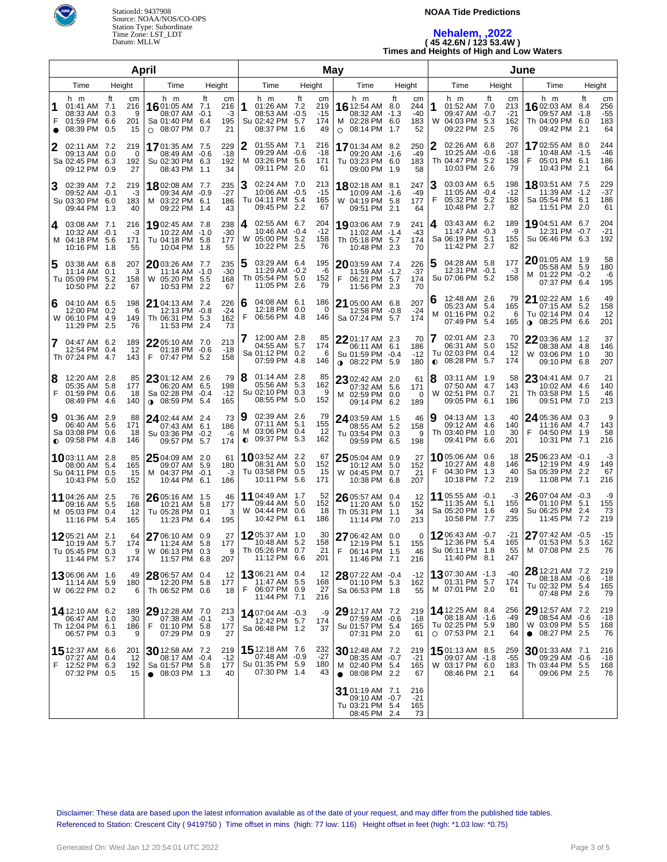

#### **NOAA Tide Predictions**

## **Nehalem, ,2022 ( 45 42.6N / 123 53.4W ) Times and Heights of High and Low Waters**

|                                                                |                              | April                             | May                                                                           |                                                  |              |                                                                           |           |                                 |           | June                                                                         |           |                                 |        |                                                                                |                  |                                 |                                                                                 |           |                                 |
|----------------------------------------------------------------|------------------------------|-----------------------------------|-------------------------------------------------------------------------------|--------------------------------------------------|--------------|---------------------------------------------------------------------------|-----------|---------------------------------|-----------|------------------------------------------------------------------------------|-----------|---------------------------------|--------|--------------------------------------------------------------------------------|------------------|---------------------------------|---------------------------------------------------------------------------------|-----------|---------------------------------|
| Height<br>Time<br>Time<br>Height                               |                              |                                   |                                                                               |                                                  |              | Time                                                                      |           | Height                          |           | Time                                                                         |           | Height                          |        | Time                                                                           |                  | Height                          | Time                                                                            |           | Height                          |
| h m<br>F<br>01:59 PM 6.6<br>08:39 PM 0.5                       | 01:41 AM 7.1<br>08:33 AM 0.3 | ft<br>cm<br>216<br>9<br>201<br>15 | h m<br>16 01:05 AM 7.1<br>08:07 AM -0.1<br>Sa 01:40 PM<br>08:07 PM<br>$\circ$ | ft<br>cm<br>216<br>-3<br>195<br>6.4<br>21<br>0.7 |              | h m<br>01:26 AM 7.2<br>08:53 AM -0.5<br>Su 02:42 PM<br>08:37 PM 1.6       | ft<br>5.7 | cm<br>219<br>$-15$<br>174<br>49 | 0         | h m<br>16 12:54 AM 8.0<br>08:32 AM -1.3<br>M 02:28 PM 6.0<br>08:14 PM        | ft<br>1.7 | cm<br>244<br>$-40$<br>183<br>52 | 1<br>W | h m<br>01:52 AM 7.0<br>09:47 AM -0.7<br>04:03 PM<br>09:22 PM                   | ft<br>5.3<br>2.5 | cm<br>213<br>$-21$<br>162<br>76 | h m<br>1602:03 AM 8.4<br>09:57 AM -1.8<br>Th 04:09 PM 6.0<br>09:42 PM           | ft<br>2.1 | cm<br>256<br>$-55$<br>183<br>64 |
| 02:11 AM 7.2<br>2<br>Sa 02:45 PM 6.3<br>09:12 PM               | 09:13 AM 0.0                 | 219<br>0<br>192<br>27<br>0.9      | 1701:35 AM 7.5<br>08:49 AM -0.6<br>Su 02:30 PM 6.3<br>08:43 PM                | 229<br>$-18$<br>192<br>34<br>1.1                 | M            | 01:55 AM 7.1<br>09:29 AM -0.6<br>03:26 PM 5.6<br>09:11 PM 2.0             |           | 216<br>$-18$<br>171<br>61       |           | 1701:34 AM 8.2<br>09:20 AM -1.6<br>Tu 03:23 PM 6.0<br>09:00 PM               | 1.9       | 250<br>$-49$<br>183<br>58       |        | 02:26 AM 6.8<br>10:25 AM -0.6<br>Th 04:47 PM<br>10:03 PM                       | 5.2<br>2.6       | 207<br>-18<br>158<br>79         | 1702:55 AM 8.0<br>10:48 AM -1.5<br>F<br>05:01 PM 6.1<br>10:43 PM 2.1            |           | 244<br>$-46$<br>186<br>64       |
| 02:39 AM 7.2<br>3<br>Su 03:30 PM 6.0<br>09:44 PM               | 09:52 AM -0.1                | 219<br>-3<br>183<br>40<br>1.3     | 1802:08 AM 7.7<br>09:34 AM -0.9<br>03:22 PM<br>M<br>09:22 PM                  | 235<br>$-27$<br>6.1<br>186<br>43<br>1.4          | 3            | 02:24 AM 7.0<br>$10:06$ AM $-0.5$<br>Tu 04:11 PM 5.4<br>09:45 PM 2.2      |           | 213<br>$-15$<br>165<br>67       |           | 1802:18 AM 8.1<br>10:09 AM -1.6<br>W 04:19 PM 5.8<br>09:51 PM                | 2.1       | 247<br>$-49$<br>177<br>64       | F      | 03:03 AM 6.5<br>11:05 AM -0.4<br>05:32 PM<br>10:48 PM                          | 5.2<br>2.7       | 198<br>$-12$<br>158<br>82       | 18 03:51 AM 7.5<br>11:39 AM -1.2<br>Sa 05:54 PM 6.1<br>11:51 PM 2.0             |           | 229<br>$-37$<br>186<br>61       |
| 03:08 AM 7.1<br>4<br>M 04:18 PM 5.6<br>10:16 PM                | 10:32 AM -0.1                | 216<br>-3<br>171<br>1.8<br>55     | 1902:45 AM 7.8<br>10:22 AM -1.0<br>Tu 04:18 PM 5.8<br>10:04 PM                | 238<br>$-30$<br>177<br>55<br>1.8                 | 4<br>W       | 02:55 AM 6.7<br>10:46 AM -0.4<br>05:00 PM 5.2<br>10:22 PM 2.5             |           | 204<br>$-12$<br>158<br>76       |           | 1903:06 AM 7.9<br>11:02 AM -1.4<br>Th 05:18 PM 5.7<br>10:48 PM               | 2.3       | 241<br>$-43$<br>174<br>70       | 4      | 03:43 AM 6.2<br>11:47 AM -0.3<br>Sa 06:19 PM 5.1<br>11:42 PM 2.7               |                  | 189<br>-9<br>155<br>82          | 19 04:51 AM 6.7<br>12:31 PM -0.7<br>Su 06:46 PM 6.3                             |           | 204<br>$-21$<br>192             |
| 03:38 AM 6.8<br>5<br>Tu 05:09 PM 5.2<br>10:50 PM               | 11:14 AM 0.1                 | 207<br>3<br>158<br>2.2<br>67      | 2003:26 AM 7.7<br>11:14 AM -1.0<br>W 05:20 PM 5.5<br>10:53 PM                 | 235<br>$-30$<br>168<br>2.2<br>67                 | 5            | 03:29 AM 6.4<br>11:29 AM -0.2<br>Th 05:54 PM 5.0<br>11:05 PM 2.6          |           | 195<br>-6<br>152<br>79          | F         | 2003:59 AM 7.4<br>11:59 AM -1.2<br>06:21 PM 5.7<br>11:56 PM 2.3              |           | 226<br>$-37$<br>174<br>70       |        | 04:28 AM 5.8<br>12:31 PM -0.1<br>Su 07:06 PM 5.2                               |                  | 177<br>-3<br>158                | 2001:05 AM 1.9<br>05:58 AM 5.9<br>M 01:22 PM -0.2<br>07:37 PM 6.4               |           | 58<br>180<br>-6<br>195          |
| 04:10 AM 6.5<br>6<br>W 06:10 PM 4.9<br>11:29 PM                | 12:00 PM 0.2                 | 198<br>6<br>149<br>2.5<br>76      | 21 04:13 AM 7.4<br>12:13 PM -0.8<br>Th 06:31 PM<br>11:53 PM                   | 226<br>$-24$<br>162<br>5.3<br>73<br>2.4          | 6<br>F       | 04:08 AM 6.1<br>12:18 PM 0.0<br>06:56 PM 4.8                              |           | 186<br>0<br>146                 |           | $2105:00$ AM 6.8<br>12:58 PM -0.8<br>Sa 07:24 PM 5.7                         |           | 207<br>$-24$<br>174             | 6<br>м | 12:48 AM 2.6<br>05:23 AM 5.4<br>01:16 PM 0.2<br>07:49 PM 5.4                   |                  | 79<br>165<br>6<br>165           | 21 02:22 AM 1.6<br>07:15 AM 5.2<br>Tu 02:14 PM 0.4<br><b>0</b> 08:25 PM 6.6     |           | 49<br>158<br>12<br>201          |
| 04:47 AM 6.2<br>7<br>Th 07:24 PM 4.7                           | 12:54 PM 0.4                 | 189<br>12<br>143                  | 22 05:10 AM 7.0<br>01:18 PM -0.6<br>F.<br>07:47 PM 5.2                        | 213<br>$-18$<br>158                              |              | 12:00 AM 2.8<br>04:55 AM 5.7<br>Sa 01:12 PM 0.2<br>07:59 PM 4.8           |           | 85<br>174<br>6<br>146           |           | 22 01:17 AM 2.3<br>06:11 AM 6.1<br>Su 01:59 PM -0.4<br><b>0</b> 08:22 PM 5.9 |           | 70<br>186<br>$-12$<br>180       | 7      | 02:01 AM 2.3<br>06:31 AM 5.0<br>Tu 02:03 PM<br>$\bullet$ 08:28 PM 5.7          | 0.4              | 70<br>152<br>12<br>174          | 22 03:36 AM 1.2<br>08:38 AM 4.8<br>W 03:06 PM 1.0<br>09:10 PM 6.8               |           | 37<br>146<br>30<br>207          |
| 8<br>12:20 AM 2.8<br>F<br>01:59 PM 0.6                         | 05:35 AM 5.8<br>08:49 PM 4.6 | 85<br>177<br>18<br>140            | 23 01:12 AM 2.6<br>06:20 AM 6.5<br>Sa 02:28 PM -0.4<br>$08:59$ PM $5.4$       | 79<br>198<br>$-12$<br>165                        | 8            | 01:14 AM 2.8<br>05:56 AM 5.3<br>Su 02:10 PM 0.3<br>08:55 PM 5.0           |           | 85<br>162<br>9<br>152           |           | $2302:42$ AM 2.0<br>07:32 AM 5.6<br>M 02:59 PM 0.0<br>09:14 PM 6.2           |           | 61<br>171<br>0<br>189           | 8<br>W | 03:11 AM 1.9<br>07:50 AM 4.7<br>02:51 PM 0.7<br>09:05 PM 6.1                   |                  | 58<br>143<br>21<br>186          | 23 04:41 AM 0.7<br>10:02 AM 4.6<br>Th 03:58 PM 1.5<br>09:51 PM 7.0              |           | 21<br>140<br>46<br>213          |
| 01:36 AM 2.9<br>9<br>Sa 03:08 PM 0.6<br>$\bullet$ 09:58 PM 4.8 | 06:40 AM 5.6                 | 88<br>171<br>18<br>146            | 24 02:44 AM 2.4<br>07:43 AM 6.1<br>Su 03:36 PM -0.2<br>09:57 PM               | 73<br>186<br>-6<br>5.7<br>174                    | 19<br>м<br>0 | 02:39 AM 2.6<br>07:11 AM 5.1<br>03:06 PM 0.4<br>09:37 PM 5.3              |           | 79<br>155<br>12<br>162          |           | 24 03:59 AM 1.5<br>08:55 AM 5.2<br>Tu 03:54 PM 0.3<br>09:59 PM 6.5           |           | 46<br>158<br>9<br>198           | 9      | 04:13 AM 1.3<br>09:12 AM 4.6<br>Th 03:40 PM<br>09:41 PM 6.6                    | 1.0              | 40<br>140<br>30<br>201          | 24 05:36 AM 0.3<br>11:16 AM 4.7<br>04:50 PM 1.9<br>F<br>10:31 PM 7.1            |           | 9<br>143<br>58<br>216           |
| 1003:11 AM 2.8<br>Su 04:11 PM 0.5                              | 08:00 AM 5.4<br>10:43 PM 5.0 | 85<br>165<br>15<br>152            | $2504:09$ AM 2.0<br>09:07 AM 5.9<br>M 04:37 PM -0.1<br>10:44 PM 6.1           | 61<br>180<br>-3<br>186                           |              | <b>10</b> 03:52 AM 2.2<br>08:31 AM 5.0<br>Tu 03:58 PM 0.5<br>10:11 PM 5.6 |           | 67<br>152<br>15<br>171          |           | 25 05:04 AM 0.9<br>10:12 AM 5.0<br>W 04:45 PM 0.7<br>10:38 PM 6.8            |           | 27<br>152<br>21<br>207          | F      | 1005:06 AM 0.6<br>10:27 AM<br>04:30 PM<br>10:18 PM 7.2                         | -4.8<br>1.3      | 18<br>146<br>40<br>219          | $2506:23$ AM $-0.1$<br>12:19 PM 4.9<br>Sa 05:39 PM 2.2<br>11:08 PM 7.1          |           | $-3$<br>149<br>67<br>216        |
| 11 04:26 AM 2.5<br>M 05:03 PM 0.4                              | 09:16 AM 5.5<br>11:16 PM 5.4 | 76<br>168<br>-12<br>165           | 26 05:16 AM 1.5<br>10:21 AM 5.8<br>Tu 05:28 PM<br>11:23 PM 6.4                | 46<br>177<br>3<br>0.1<br>195                     |              | 11 04:49 AM 1.7<br>09:44 AM 5.0<br>W 04:44 PM 0.6<br>10:42 PM 6.1         |           | 52<br>152<br>18<br>186          |           | 26 05:57 AM 0.4<br>11:20 AM 5.0<br>Th 05:31 PM 1.1<br>11:14 PM 7.0           |           | 12<br>152<br>34<br>213          |        | 11 05:55 AM -0.1<br>11:35 AM<br>Sa 05:20 PM<br>10:58 PM 7.7                    | 5.1<br>1.6       | -3<br>155<br>49<br>235          | 2607:04 AM -0.3<br>01:10 PM 5.1<br>Su 06:25 PM 2.4<br>11:45 PM 7.2              |           | -9<br>155<br>73<br>219          |
| 1205:21 AM 2.1<br>Tu 05:45 PM 0.3<br>11:44 PM 5.7              | 10:19 AM 5.7                 | 64<br>174<br>9<br>174             | 27 06:10 AM 0.9<br>11:24 AM 5.8<br>W 06:13 PM 0.3<br>11:57 PM 6.8             | 27<br>177<br>9<br>207                            |              | 1205:37 AM 1.0<br>10:48 AM 5.2<br>Th 05:26 PM 0.7<br>11:12 PM 6.6         |           | 30<br>158<br>21<br>201          | F         | 27 06:42 AM 0.0<br>12:19 PM 5.1<br>06:14 PM 1.5<br>11:46 PM 7.1              |           | 0<br>155<br>46<br>216           |        | 1206:43 AM -0.7<br>12:36 PM 5.4<br>Su 06:11 PM 1.8<br>11:40 PM 8.1             |                  | -21<br>165<br>55<br>247         | 27 07:42 AM -0.5<br>01:53 PM 5.3<br>M 07:08 PM 2.5                              |           | $-15$<br>162<br>76              |
| 1306:06 AM 1.6<br>W 06:22 PM 0.2                               | 11:14 AM 5.9                 | 49<br>180<br>6                    | 28 06:57 AM 0.4<br>12:20 PM 5.8<br>Th 06:52 PM 0.6                            | 12<br>177<br>18                                  | F            | 1306:21 AM 0.4<br>11:47 AM 5.5<br>06:07 PM 0.9<br>11:44 PM 7.1            |           | 12<br>168<br>27<br>216          |           | 28 07:22 AM -0.4<br>01:10 PM 5.3<br>Sa 06:53 PM 1.8                          |           | $-12$<br>162<br>55              |        | 1307:30 AM -1.3<br>01:31 PM 5.7<br>M 07:01 PM 2.0                              |                  | -40<br>174<br>61                | 28 12:21 AM 7.2<br>08:18 AM -0.6<br>Tu 02:32 PM 5.4<br>07:48 PM 2.6             |           | 219<br>-18<br>165<br>79         |
| 14 12:10 AM 6.2<br>Th 12:04 PM 6.1                             | 06:47 AM 1.0<br>06:57 PM 0.3 | 189<br>30<br>186<br>9             | 29 12:28 AM 7.0<br>07:38 AM -0.1<br>F<br>01:10 PM 5.8<br>07:29 PM 0.9         | 213<br>-3<br>177<br>27                           |              | 1407:04 AM -0.3<br>12:42 PM 5.7<br>Sa 06:48 PM 1.2                        |           | -9<br>174<br>37                 |           | 29 12:17 AM 7.2<br>07:59 AM -0.6<br>Su 01:57 PM 5.4<br>07:31 PM 2.0          |           | 219<br>-18<br>165<br>61         |        | <b>14</b> 12:25 AM 8.4<br>08:18 AM -1.6<br>Tu 02:25 PM 5.9<br>$O$ 07:53 PM 2.1 |                  | 256<br>-49<br>180<br>64         | 29 12:57 AM 7.2<br>08:54 AM -0.6<br>W 03:09 PM 5.5<br>08:27 PM 2.5<br>$\bullet$ |           | 219<br>$-18$<br>168<br>76       |
| 15 12:37 AM 6.6<br>F<br>12:52 PM 6.3                           | 07:27 AM 0.4<br>07:32 PM 0.5 | 201<br>12<br>192<br>15            | 30 12:58 AM 7.2<br>08:17 AM -0.4<br>Sa 01:57 PM 5.8<br>$\bullet$ 08:03 PM 1.3 | 219<br>$-12$<br>177<br>40                        |              | 15 12:18 AM 7.6<br>07:48 AM -0.9<br>Su 01:35 PM 5.9<br>07:30 PM 1.4       |           | 232<br>$-27$<br>180<br>43       | $\bullet$ | <b>30</b> 12:48 AM 7.2<br>08:35 AM -0.7<br>M 02:40 PM 5.4<br>08:08 PM 2.2    |           | 219<br>$-21$<br>165<br>67       |        | 1501:13 AM 8.5<br>09:07 AM -1.8<br>W 03:17 PM 6.0<br>08:46 PM 2.1              |                  | 259<br>-55<br>183<br>64         | $3001:33$ AM 7.1<br>09:29 AM -0.6<br>Th 03:44 PM 5.5<br>09:06 PM 2.5            |           | 216<br>$-18$<br>168<br>76       |
|                                                                |                              |                                   |                                                                               |                                                  |              |                                                                           |           |                                 |           | 31 01:19 AM 7.1<br>09:10 AM -0.7<br>Tu 03:21 PM 5.4<br>08:45 PM 2.4          |           | 216<br>$-21$<br>165<br>73       |        |                                                                                |                  |                                 |                                                                                 |           |                                 |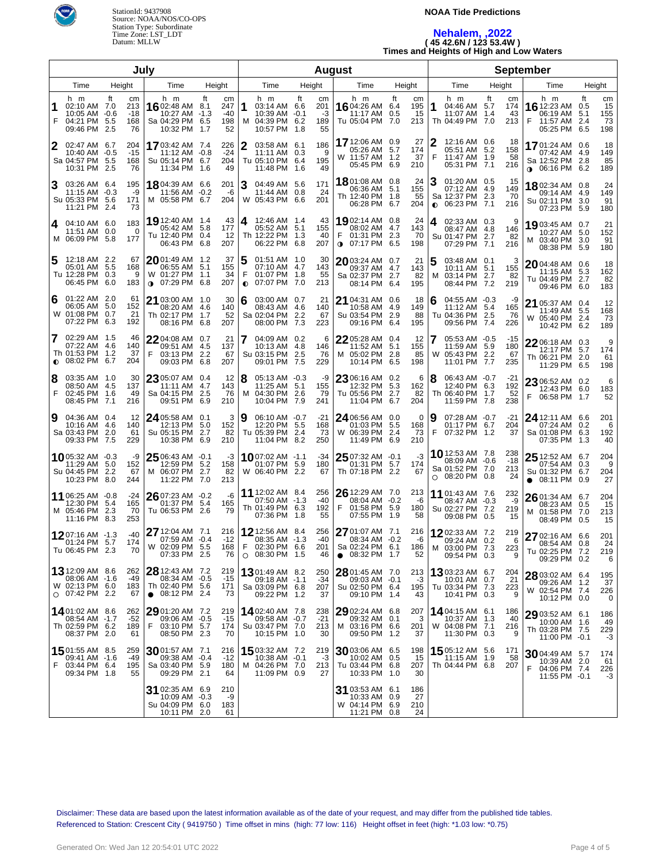

#### **NOAA Tide Predictions**

# **Nehalem, ,2022 ( 45 42.6N / 123 53.4W ) Times and Heights of High and Low Waters**

| July                             |                                                                            |            |                                 |                                                                               |                                                   |                | <b>August</b>                                                              |    |                              |                                                                                 |                                      |        |                                                                           | <b>September</b>               |                                                                               |                                                  |  |  |  |  |
|----------------------------------|----------------------------------------------------------------------------|------------|---------------------------------|-------------------------------------------------------------------------------|---------------------------------------------------|----------------|----------------------------------------------------------------------------|----|------------------------------|---------------------------------------------------------------------------------|--------------------------------------|--------|---------------------------------------------------------------------------|--------------------------------|-------------------------------------------------------------------------------|--------------------------------------------------|--|--|--|--|
| Height<br>Time<br>Time<br>Height |                                                                            |            |                                 |                                                                               | Time<br>Height                                    |                | Time<br>Height                                                             |    |                              | Time                                                                            | Height                               | Time   | Height                                                                    |                                |                                                                               |                                                  |  |  |  |  |
| F                                | h m<br>02:10 AM 7.0<br>10:05 AM -0.6<br>04:21 PM 5.5<br>09:46 PM           | ft<br>-2.5 | cm<br>213<br>$-18$<br>168<br>76 | h m<br><b>16</b> 02:48 AM<br>10:27 AM -1.3<br>Sa 04:29 PM 6.5<br>10:32 PM     | ft<br>cm<br>247<br>8.1<br>-40<br>198<br>52<br>1.7 | м              | h m<br>03:14 AM 6.6<br>$10:39$ AM $-0.1$<br>04:39 PM 6.2<br>10:57 PM 1.8   | ft | cm<br>201<br>-3<br>189<br>55 | h m<br>16 04:26 AM 6.4<br>11:17 AM<br>Tu 05:04 PM 7.0                           | ft<br>cm<br>195<br>15<br>0.5<br>213  | 1      | h m<br>04:46 AM 5.7<br>11:07 AM 1.4<br>Th 04:49 PM 7.0                    | ft<br>cm<br>174<br>43<br>213   | h m<br>16 12:23 AM<br>06:19 AM<br>F<br>11:57 AM 2.4<br>05:25 PM 6.5           | ft<br>cm<br>15<br>0.5<br>5.1<br>155<br>73<br>198 |  |  |  |  |
| 2                                | 02:47 AM 6.7<br>10:40 AM -0.5<br>Sa 04:57 PM 5.5<br>10:31 PM 2.5           |            | 204<br>$-15$<br>168<br>76       | 1703:42 AM 7.4<br>11:12 AM -0.8<br>Su 05:14 PM 6.7<br>11:34 PM                | 226<br>$-24$<br>204<br>49<br>1.6                  | 2              | 03:58 AM 6.1<br>11:11 AM 0.3<br>Tu 05:10 PM 6.4<br>11:48 PM 1.6            |    | 186<br>-9<br>195<br>49       | 17 12:06 AM 0.9<br>05:26 AM 5.7<br>W 11:57 AM 1.2<br>05:45 PM 6.9               | 27<br>174<br>37<br>210               | 2      | 12:16 AM 0.6<br>05:51 AM 5.2<br>11:47 AM 1.9<br>05:31 PM 7.1              | 18<br>158<br>58<br>216         | 17 01:24 AM 0.6<br>07:42 AM 4.9<br>Sa 12:52 PM 2.8<br><b>0</b> 06:16 PM 6.2   | 18<br>149<br>85<br>189                           |  |  |  |  |
| 3                                | 03:26 AM 6.4<br>$11:15$ AM $-0.3$<br>Su 05:33 PM 5.6<br>11:21 PM 2.4       |            | 195<br>-9<br>171<br>73          | 18 04:39 AM 6.6<br>11:56 AM -0.2<br>M 05:58 PM 6.7                            | 201<br>-6<br>204                                  | 3              | 04:49 AM 5.6<br>11:44 AM 0.8<br>W 05:43 PM 6.6                             |    | 171<br>24<br>201             | 1801:08 AM 0.8<br>06:36 AM 5.1<br>Th 12:40 PM 1.8<br>06:28 PM 6.7               | 24<br>155<br>55<br>204               | 3      | 01:20 AM 0.5<br>07:12 AM 4.9<br>Sa 12:37 PM 2.3<br>$\bullet$ 06:23 PM 7.1 | 15<br>149<br>70<br>216         | 1802:34 AM 0.8<br>09:14 AM 4.9<br>Su 02:11 PM<br>07:23 PM 5.9                 | 24<br>149<br>91<br>3.0<br>180                    |  |  |  |  |
| 4                                | 04:10 AM 6.0<br>11:51 AM 0.0<br>M 06:09 PM 5.8                             |            | 183<br>$\Omega$<br>177          | 19 12:40 AM 1.4<br>05:42 AM 5.8<br>Tu 12:40 PM 0.4<br>06:43 PM 6.8            | 43<br>177<br>12<br>207                            | 4              | 12:46 AM 1.4<br>05:52 AM 5.1<br>Th 12:22 PM 1.3<br>06:22 PM 6.8            |    | 43<br>155<br>40<br>207       | 1902:14 AM 0.8<br>08:02 AM 4.7<br>01:31 PM 2.3<br><b>0</b> 07:17 PM 6.5         | 24<br>143<br>70<br>198               | 4      | 02:33 AM 0.3<br>08:47 AM 4.8<br>Su 01:47 PM 2.7<br>07:29 PM 7.1           | 9<br>146<br>82<br>216          | 1903:45 AM 0.7<br>10:27 AM 5.0<br>03:40 PM<br>м<br>08:38 PM                   | 21<br>152<br>91<br>3.0<br>5.9<br>180             |  |  |  |  |
| 5                                | 12:18 AM 2.2<br>05:01 AM 5.5<br>Tu 12:28 PM 0.3<br>06:45 PM 6.0            |            | 67<br>168<br>9<br>183           | $2001:49$ AM 1.2<br>06:55 AM 5.1<br>W 01:27 PM 1.1<br>$0$ 07:29 PM 6.8        | 37<br>155<br>34<br>207                            | 5<br>$\bullet$ | 01:51 AM 1.0<br>07:10 AM 4.7<br>01:07 PM 1.8<br>07:07 PM 7.0               |    | 30<br>143<br>55<br>213       | <b>20</b> 03:24 AM 0.7<br>09:37 AM 4.7<br>Sa 02:37 PM 2.7<br>08:14 PM 6.4       | 21<br>143<br>82<br>195               | 5<br>м | 03:48 AM 0.1<br>10:11 AM 5.1<br>03:14 PM 2.7<br>08:44 PM 7.2              | 3<br>155<br>82<br>219          | 2004:48 AM 0.6<br>11:15 AM 5.3<br>Tu 04:49 PM 2.7<br>09:46 PM 6.0             | 18<br>162<br>82<br>183                           |  |  |  |  |
| 6                                | 01:22 AM 2.0<br>06:05 AM 5.0<br>W 01:08 PM 0.7<br>07:22 PM 6.3             |            | 61<br>152<br>21<br>192          | 21 03:00 AM 1.0<br>08:20 AM 4.6<br>Th 02:17 PM<br>08:16 PM 6.8                | 30<br>140<br>52<br>1.7<br>207                     | 6              | 03:00 AM 0.7<br>08:43 AM 4.6<br>Sa 02:04 PM 2.2<br>08:00 PM 7.3            |    | 21<br>140<br>67<br>223       | 21 04:31 AM 0.6<br>10:58 AM<br>Su 03:54 PM<br>09:16 PM 6.4                      | 18<br>4.9<br>149<br>2.9<br>88<br>195 | 6      | 04:55 AM -0.3<br>11:12 AM 5.4<br>Tu 04:36 PM<br>09:56 PM 7.4              | -9<br>165<br>2.5<br>76<br>226  | 21 05:37 AM 0.4<br>11:49 AM 5.5<br>05:40 PM<br>W<br>10:42 PM 6.2              | 12<br>168<br>73<br>-2.4<br>189                   |  |  |  |  |
| 7<br>$\bullet$                   | 02:29 AM 1.5<br>07:22 AM 4.6<br>Th 01:53 PM 1.2<br>08:02 PM 6.7            |            | 46<br>140<br>37<br>204          | 2204:08 AM 0.7<br>09:51 AM 4.5<br>F<br>03:13 PM<br>09:03 PM 6.8               | 21<br>137<br>2.2<br>67<br>207                     |                | 04:09 AM 0.2<br>10:13 AM 4.8<br>Su 03:15 PM 2.5<br>09:01 PM 7.5            |    | 6<br>146<br>76<br>229        | 22 05:28 AM 0.4<br>11:52 AM<br>M 05:02 PM 2.8<br>10:14 PM 6.5                   | 12<br>155<br>5.1<br>85<br>198        | 7<br>W | 05:53 AM -0.5<br>11:59 AM 5.9<br>05:43 PM<br>11:01 PM 7.7                 | -15<br>180<br>2.2<br>67<br>235 | $2206:18$ AM 0.3<br>12:17 PM 5.7<br>Th 06:21 PM 2.0<br>11:29 PM 6.5           | 9<br>174<br>61<br>198                            |  |  |  |  |
| 8<br>F                           | 03:35 AM 1.0<br>08:50 AM 4.5<br>02:45 PM 1.6<br>08:45 PM 7.1               |            | 30<br>137<br>49<br>216          | 23 05:07 AM 0.4<br>11:11 AM 4.7<br>Sa 04:15 PM<br>09:51 PM 6.9                | 12<br>143<br>2.5<br>76<br>210                     | 18<br>м        | 05:13 AM -0.3<br>11:25 AM 5.1<br>04:30 PM 2.6<br>10:04 PM 7.9              |    | -9<br>155<br>79<br>241       | 23 06:16 AM 0.2<br>12:32 PM<br>Tu 05:56 PM<br>11:04 PM 6.7                      | 6<br>5.3<br>162<br>2.7<br>82<br>204  | 8      | 06:43 AM -0.7<br>12:40 PM 6.3<br>Th 06:40 PM 1.7<br>11:59 PM 7.8          | $-21$<br>192<br>52<br>238      | 23 06:52 AM 0.2<br>12:43 PM 6.0<br>06:58 PM 1.7<br>F                          | 6<br>183<br>52                                   |  |  |  |  |
| 9                                | 04:36 AM 0.4<br>10:16 AM 4.6<br>Sa 03:43 PM 2.0<br>09:33 PM 7.5            |            | 12<br>140<br>61<br>229          | 24 05:58 AM 0.1<br>12:13 PM 5.0<br>Su 05:15 PM<br>10:38 PM 6.9                | 3<br>152<br>82<br>2.7<br>210                      | 19             | 06:10 AM -0.7<br>12:20 PM 5.5<br>Tu 05:39 PM 2.4<br>11:04 PM 8.2           |    | $-21$<br>168<br>73<br>250    | 24 06:56 AM 0.0<br>01:03 PM<br>W 06:39 PM 2.4<br>11:49 PM 6.9                   | 0<br>5.5<br>168<br>73<br>210         | 9<br>F | 07:28 AM -0.7<br>01:17 PM 6.7<br>07:32 PM 1.2                             | -21<br>204<br>37               | 24 12:11 AM 6.6<br>07:24 AM 0.2<br>Sa 01:08 PM 6.3<br>07:35 PM 1.3            | 201<br>6<br>192<br>40                            |  |  |  |  |
|                                  | <b>10</b> 05:32 AM -0.3<br>11:29 AM 5.0<br>Su 04:45 PM 2.2<br>10:23 PM 8.0 |            | -9<br>152<br>67<br>244          | 25 06:43 AM -0.1<br>12:59 PM 5.2<br>M 06:07 PM 2.7<br>11:22 PM 7.0            | -3<br>158<br>82<br>213                            |                | <b>10</b> 07:02 AM -1.1<br>01:07 PM 5.9<br>W 06:40 PM 2.2                  |    | -34<br>180<br>67             | $2507:32$ AM $-0.1$<br>01:31 PM 5.7<br>Th 07:18 PM 2.2                          | $-3$<br>174<br>67                    |        | 10 12:53 AM 7.8<br>08:09 AM -0.6<br>Sa 01:52 PM 7.0<br>$O$ 08:20 PM 0.8   | 238<br>-18<br>213<br>24        | $2512:52$ AM 6.7<br>07:54 AM 0.3<br>Su 01:32 PM 6.7<br>$\bullet$ 08:11 PM 0.9 | 204<br>9<br>204<br>27                            |  |  |  |  |
|                                  | 11 06:25 AM -0.8<br>12:30 PM 5.4<br>M 05:46 PM 2.3<br>11:16 PM 8.3         |            | -24<br>165<br>70<br>253         | $2607:23$ AM $-0.2$<br>01:37 PM 5.4<br>Tu 06:53 PM 2.6                        | -6<br>165<br>79                                   |                | <b>11</b> 12:02 AM 8.4<br>07:50 AM -1.3<br>Th 01:49 PM 6.3<br>07:36 PM 1.8 |    | 256<br>$-40$<br>192<br>55    | 26 12:29 AM 7.0<br>08:04 AM -0.2<br>01:58 PM 5.9<br>F<br>07:55 PM 1.9           | 213<br>-6<br>180<br>58               |        | 11 01:43 AM 7.6<br>08:47 AM -0.3<br>Su 02:27 PM 7.2<br>09:08 PM 0.5       | 232<br>-9<br>219<br>15         | 26 01:34 AM 6.7<br>08:23 AM 0.5<br>M 01:58 PM 7.0<br>08:49 PM 0.5             | 204<br>15<br>213<br>15                           |  |  |  |  |
|                                  | 1207:16 AM -1.3<br>01:24 PM 5.7<br>Tu 06:45 PM 2.3                         |            | $-40$<br>174<br>70              | <b>27</b> 12:04 AM 7.1<br>07:59 AM -0.4<br>W 02:09 PM 5.5<br>07:33 PM 2.5     | 216<br>$-12$<br>168<br>76                         |                | 12 12:56 AM 8.4<br>08:35 AM -1.3<br>02:30 PM 6.6<br>$O$ 08:30 PM 1.5       |    | 256<br>-40<br>201<br>46      | 27 01:07 AM 7.1<br>08:34 AM -0.2<br>Sa 02:24 PM 6.1<br>$\bullet$ 08:32 PM 1.7   | 216<br>-6<br>186<br>52               |        | 1202:33 AM 7.2<br>09:24 AM 0.2<br>M 03:00 PM 7.3<br>09:54 PM 0.3          | 219<br>6<br>223<br>9           | 27 02:16 AM 6.6<br>08:54 AM 0.8<br>Tu 02:25 PM 7.2<br>09:29 PM 0.2            | 201<br>24<br>219<br>6                            |  |  |  |  |
|                                  | 13 12:09 AM 8.6<br>08:06 AM -1.6<br>W 02:13 PM 6.0<br>$\circ$ 07:42 PM 2.2 |            | 262<br>-49<br>183<br>67         | 28 12:43 AM 7.2<br>08:34 AM -0.5<br>Th 02:40 PM 5.6<br>$\bullet$ 08:12 PM 2.4 | 219<br>$-15$<br>171<br>73                         |                | <b>13</b> 01:49 AM 8.2<br>09:18 AM -1.1<br>Sa 03:09 PM 6.8<br>09:22 PM 1.2 |    | 250<br>$-34$<br>207<br>37    | $28$ 01:45 AM $\,$ 7.0 $\,$<br>09:03 AM -0.1<br>Su 02:50 PM 6.4<br>09:10 PM 1.4 | 213<br>-3<br>195<br>43               |        | 13 03:23 AM 6.7<br>10:01 AM 0.7<br>Tu 03:34 PM 7.3<br>10:41 PM 0.3        | 204<br>21<br>223<br>9          | 28 03:02 AM 6.4<br>09:26 AM 1.2<br>W 02:54 PM 7.4<br>10:12 PM 0.0             | 195<br>37<br>226<br>0                            |  |  |  |  |
|                                  | 1401:02 AM 8.6<br>08:54 AM -1.7<br>Th 02:59 PM 6.2<br>08:37 PM 2.0         |            | 262<br>-52<br>189<br>61         | 29 01:20 AM 7.2<br>09:06 AM -0.5<br>F 03:10 PM 5.7<br>08:50 PM 2.3            | 219<br>$-15$<br>174<br>-70                        |                | <b>14</b> 02:40 AM 7.8<br>09:58 AM -0.7<br>Su 03:47 PM 7.0<br>10:15 PM 1.0 |    | 238<br>$-21$<br>213<br>30    | 29 02:24 AM 6.8<br>09:32 AM 0.1<br>M 03:16 PM 6.6<br>09:50 PM 1.2               | 207<br>3<br>201<br>37                |        | 14 04:15 AM 6.1<br>10:37 AM 1.3<br>W 04:08 PM 7.1<br>11:30 PM 0.3         | 186<br>40<br>216<br>9          | 29 03:52 AM 6.1<br>10:00 AM 1.6<br>Th 03:28 PM 7.5<br>11:00 PM -0.1           | 186<br>49<br>229<br>-3                           |  |  |  |  |
| F                                | 15 01:55 AM 8.5<br>09:41 AM -1.6<br>03:44 PM 6.4<br>09:34 PM 1.8           |            | 259<br>-49<br>195<br>55         | $3001:57$ AM 7.1<br>09:38 AM -0.4<br>Sa 03:40 PM 5.9<br>09:29 PM 2.1          | 216<br>$-12$<br>180<br>64                         |                | <b>15</b> 03:32 AM 7.2<br>10:38 AM -0.1<br>M 04:26 PM 7.0<br>11:09 PM 0.9  |    | 219<br>-3<br>213<br>27       | 30 03:06 AM 6.5<br>10:02 AM 0.5<br>Tu 03:44 PM 6.8<br>10:33 PM 1.0              | 198<br>15<br>207<br>30               |        | <b>15</b> 05:12 AM 5.6<br>11:15 AM<br>Th 04:44 PM 6.8                     | 171<br>58<br>1.9<br>207        | 3004:49 AM 5.7<br>10:39 AM 2.0<br>F 04:06 PM 7.4<br>11:55 PM -0.1             | 174<br>61<br>226<br>-3                           |  |  |  |  |
|                                  |                                                                            |            |                                 | 31 02:35 AM 6.9<br>10:09 AM -0.3<br>Su 04:09 PM 6.0<br>10:11 PM 2.0           | 210<br>-9<br>183<br>61                            |                |                                                                            |    |                              | 31 03:53 AM 6.1<br>10:33 AM<br>W 04:14 PM 6.9<br>11:21 PM 0.8                   | 186<br>27<br>0.9<br>210<br>24        |        |                                                                           |                                |                                                                               |                                                  |  |  |  |  |